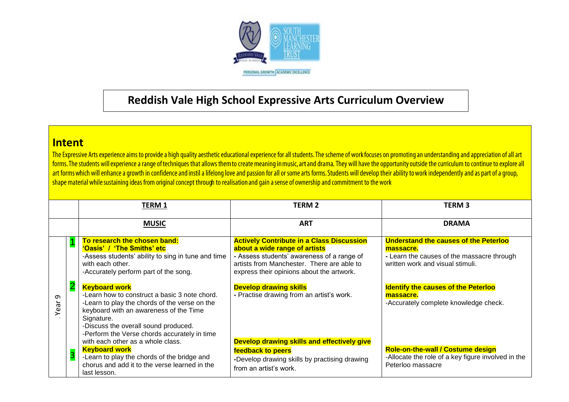

## **Reddish Vale High School Expressive Arts Curriculum Overview**

**Intent**<br>The Expressive Arts experience aims to provide a high quality aesthetic educational experience for all students. The scheme of work focuses on promoting an understanding and appreciation of all art forms. The students will experience a range of techniques that allows them to create meaning in music, art and drama. They will have the opportunity outside the curriculum to continue to explore all art forms which will enhance a growth in confidence and instil a lifelong love and passion for all or some arts forms. Students will develop their ability to work independently and as part of a group, shape material while sustaining ideas from original concept through to realisation and gain a sense of ownership and commitment to the work

|           |                         | <b>TERM 1</b>                                                                                                                                                                                                                                                                                                                                                                                                                                           | <b>TERM 2</b>                                                                                                                                                                                                                                                                                            | <b>TERM 3</b>                                                                                                                                                                                                                                   |  |  |  |
|-----------|-------------------------|---------------------------------------------------------------------------------------------------------------------------------------------------------------------------------------------------------------------------------------------------------------------------------------------------------------------------------------------------------------------------------------------------------------------------------------------------------|----------------------------------------------------------------------------------------------------------------------------------------------------------------------------------------------------------------------------------------------------------------------------------------------------------|-------------------------------------------------------------------------------------------------------------------------------------------------------------------------------------------------------------------------------------------------|--|--|--|
|           |                         | <b>MUSIC</b>                                                                                                                                                                                                                                                                                                                                                                                                                                            | <b>ART</b>                                                                                                                                                                                                                                                                                               | <b>DRAMA</b>                                                                                                                                                                                                                                    |  |  |  |
| Ō<br>Year |                         | To research the chosen band:<br>'Oasis' / 'The Smiths' etc<br>-Assess students' ability to sing in tune and time<br>with each other.<br>-Accurately perform part of the song.<br><b>Keyboard work</b><br>-Learn how to construct a basic 3 note chord.<br>-Learn to play the chords of the verse on the<br>keyboard with an awareness of the Time<br>Signature.<br>-Discuss the overall sound produced.<br>-Perform the Verse chords accurately in time | <b>Actively Contribute in a Class Discussion</b><br>about a wide range of artists<br>- Assess students' awareness of a range of<br>artists from Manchester. There are able to<br>express their opinions about the artwork.<br><b>Develop drawing skills</b><br>- Practise drawing from an artist's work. | <b>Understand the causes of the Peterloo</b><br>massacre.<br>- Learn the causes of the massacre through<br>written work and visual stimuli.<br><b>Identify the causes of the Peterloo</b><br>massacre.<br>-Accurately complete knowledge check. |  |  |  |
|           | $\overline{\mathbf{3}}$ | with each other as a whole class.<br><b>Keyboard work</b><br>-Learn to play the chords of the bridge and<br>chorus and add it to the verse learned in the<br>last lesson.                                                                                                                                                                                                                                                                               | Develop drawing skills and effectively give<br>feedback to peers<br>-Develop drawing skills by practising drawing<br>from an artist's work.                                                                                                                                                              | <b>Role-on-the-wall / Costume design</b><br>-Allocate the role of a key figure involved in the<br>Peterloo massacre                                                                                                                             |  |  |  |